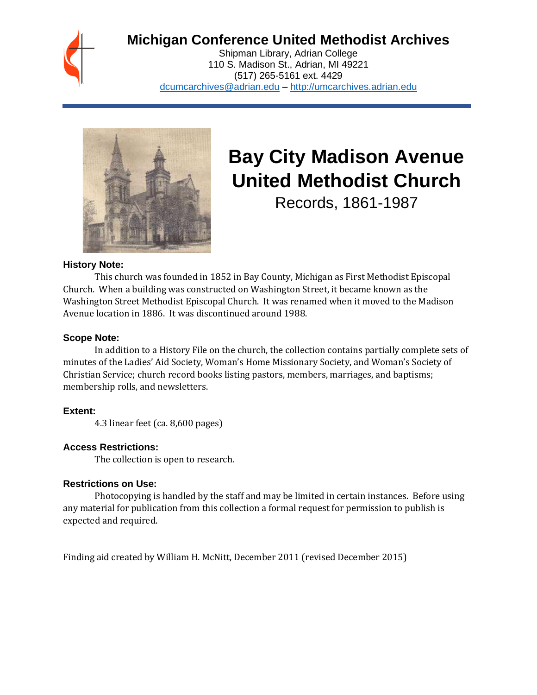

# **Michigan Conference United Methodist Archives**

Shipman Library, Adrian College 110 S. Madison St., Adrian, MI 49221 (517) 265-5161 ext. 4429 [dcumcarchives@adrian.edu](mailto:dcumcarchives@adrian.edu) – [http://umcarchives.adrian.edu](http://umcarchives.adrian.edu/)



# **Bay City Madison Avenue United Methodist Church**

Records, 1861-1987

# **History Note:**

This church was founded in 1852 in Bay County, Michigan as First Methodist Episcopal Church. When a building was constructed on Washington Street, it became known as the Washington Street Methodist Episcopal Church. It was renamed when it moved to the Madison Avenue location in 1886. It was discontinued around 1988.

# **Scope Note:**

In addition to a History File on the church, the collection contains partially complete sets of minutes of the Ladies' Aid Society, Woman's Home Missionary Society, and Woman's Society of Christian Service; church record books listing pastors, members, marriages, and baptisms; membership rolls, and newsletters.

# **Extent:**

4.3 linear feet (ca. 8,600 pages)

# **Access Restrictions:**

The collection is open to research.

# **Restrictions on Use:**

Photocopying is handled by the staff and may be limited in certain instances. Before using any material for publication from this collection a formal request for permission to publish is expected and required.

Finding aid created by William H. McNitt, December 2011 (revised December 2015)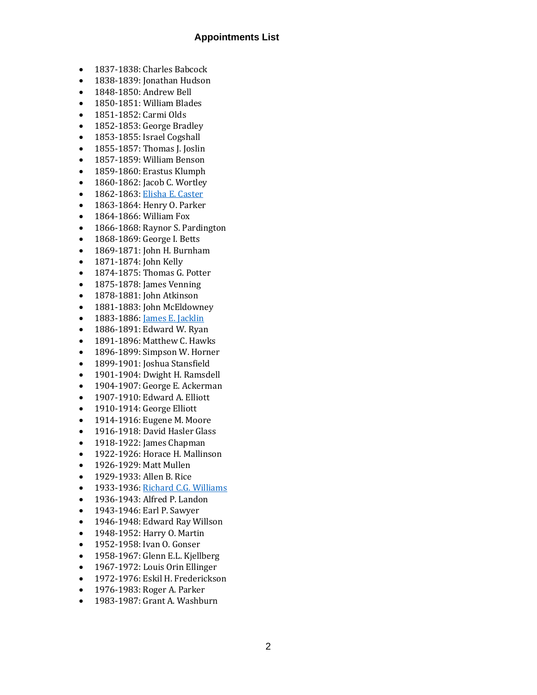#### **Appointments List**

- 1837-1838: Charles Babcock
- 1838-1839: Jonathan Hudson
- 1848-1850: Andrew Bell
- 1850-1851: William Blades
- 1851-1852: Carmi Olds
- 1852-1853: George Bradley
- 1853-1855: Israel Cogshall
- 1855-1857: Thomas J. Joslin
- 1857-1859: William Benson
- 1859-1860: Erastus Klumph
- 1860-1862: Jacob C. Wortley
- 1862-1863: [Elisha E. Caster](http://umcarchives.adrian.edu/fa/castereepapers.pdf)
- 1863-1864: Henry O. Parker
- 1864-1866: William Fox
- 1866-1868: Raynor S. Pardington
- 1868-1869: George I. Betts
- 1869-1871: John H. Burnham
- 1871-1874: John Kelly
- 1874-1875: Thomas G. Potter
- 1875-1878: James Venning
- 1878-1881: John Atkinson
- 1881-1883: John McEldowney
- 1883-1886: [James E. Jacklin](http://umcarchives.adrian.edu/clergy/jacklinje.php)
- 1886-1891: Edward W. Ryan
- 1891-1896: Matthew C. Hawks
- 1896-1899: Simpson W. Horner
- 1899-1901: Joshua Stansfield
- 1901-1904: Dwight H. Ramsdell
- 1904-1907: George E. Ackerman
- 1907-1910: Edward A. Elliott
- 1910-1914: George Elliott
- 1914-1916: Eugene M. Moore
- 1916-1918: David Hasler Glass
- 1918-1922: James Chapman
- 1922-1926: Horace H. Mallinson
- 1926-1929: Matt Mullen
- 1929-1933: Allen B. Rice
- 1933-1936: [Richard C.G. Williams](http://umcarchives.adrian.edu/clergy/williamsrcg.php)
- 1936-1943: Alfred P. Landon
- 1943-1946: Earl P. Sawyer
- 1946-1948: Edward Ray Willson
- 1948-1952: Harry O. Martin
- 1952-1958: Ivan O. Gonser
- 1958-1967: Glenn E.L. Kjellberg
- 1967-1972: Louis Orin Ellinger
- 1972-1976: Eskil H. Frederickson
- 1976-1983: Roger A. Parker
- 1983-1987: Grant A. Washburn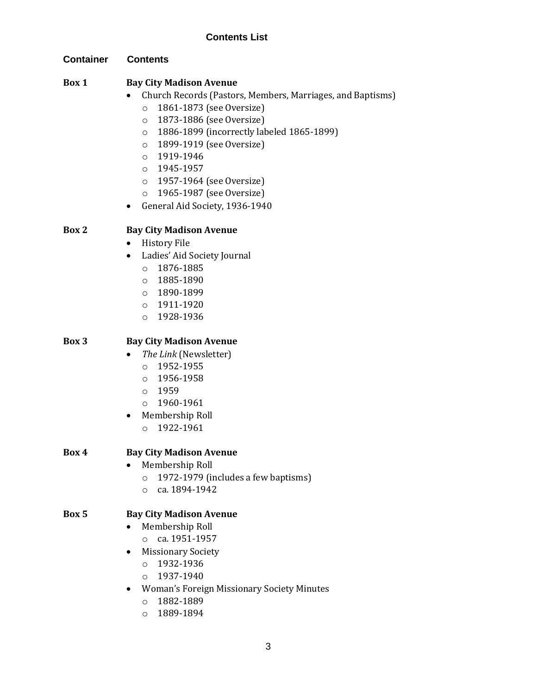**Container Contents**

# **Box 1 Bay City Madison Avenue**

- Church Records (Pastors, Members, Marriages, and Baptisms)
	- o 1861-1873 (see Oversize)
	- o 1873-1886 (see Oversize)
	- o 1886-1899 (incorrectly labeled 1865-1899)
	- o 1899-1919 (see Oversize)
	- o 1919-1946
	- o 1945-1957
	- o 1957-1964 (see Oversize)
	- o 1965-1987 (see Oversize)
- General Aid Society, 1936-1940

# **Box 2 Bay City Madison Avenue**

- History File
- Ladies' Aid Society Journal
	- o 1876-1885
	- o 1885-1890
	- o 1890-1899
	- o 1911-1920
	- o 1928-1936

# **Box 3 Bay City Madison Avenue**

- *The Link* (Newsletter)
	- o 1952-1955
	- o 1956-1958
	- o 1959
	- o 1960-1961
- Membership Roll
	- o 1922-1961
- **Box 4 Bay City Madison Avenue**
	- Membership Roll
		- o 1972-1979 (includes a few baptisms)
		- o ca. 1894-1942

# **Box 5 Bay City Madison Avenue**

- Membership Roll
	- o ca. 1951-1957
- Missionary Society
	- o 1932-1936
	- o 1937-1940
- Woman's Foreign Missionary Society Minutes
	- o 1882-1889
	- o 1889-1894